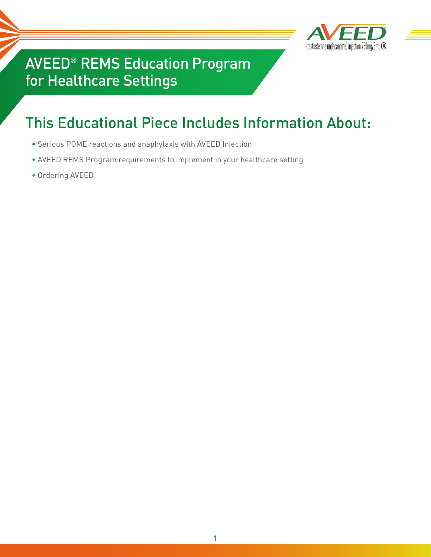

## AVEED® REMS Education Program for Healthcare Settings

# This Educational Piece Includes Information About:

- Serious POME reactions and anaphylaxis with AVEED Injection
- AVEED REMS Program requirements to implement in your healthcare setting
- Ordering AVEED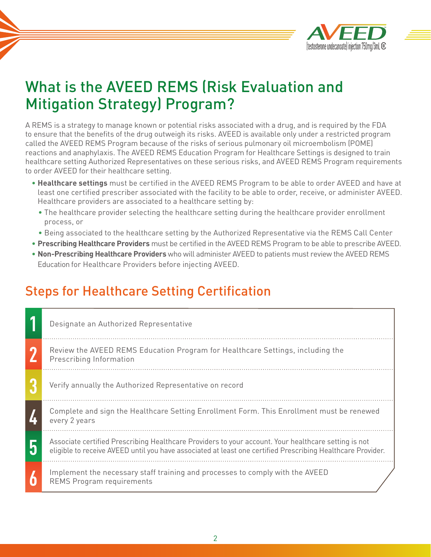

## What is the AVEED REMS (Risk Evaluation and Mitigation Strategy) Program?

A REMS is a strategy to manage known or potential risks associated with a drug, and is required by the FDA to ensure that the benefits of the drug outweigh its risks. AVEED is available only under a restricted program called the AVEED REMS Program because of the risks of serious pulmonary oil microembolism (POME) reactions and anaphylaxis. The AVEED REMS Education Program for Healthcare Settings is designed to train healthcare setting Authorized Representatives on these serious risks, and AVEED REMS Program requirements to order AVEED for their healthcare setting.

- **Healthcare settings** must be certified in the AVEED REMS Program to be able to order AVEED and have at least one certified prescriber associated with the facility to be able to order, receive, or administer AVEED. Healthcare providers are associated to a healthcare setting by:
	- The healthcare provider selecting the healthcare setting during the healthcare provider enrollment process, or
- Being associated to the healthcare setting by the Authorized Representative via the REMS Call Center
- **Prescribing Healthcare Providers** must be certified in the AVEED REMS Program to be able to prescribe AVEED.
- **Non-Prescribing Healthcare Providers** who will administer AVEED to patients must review the AVEED REMS Education for Healthcare Providers before injecting AVEED.

#### Steps for Healthcare Setting Certification

| Designate an Authorized Representative                                                                                                                                                                              |
|---------------------------------------------------------------------------------------------------------------------------------------------------------------------------------------------------------------------|
| Review the AVEED REMS Education Program for Healthcare Settings, including the<br>Prescribing Information                                                                                                           |
| Verify annually the Authorized Representative on record                                                                                                                                                             |
| Complete and sign the Healthcare Setting Enrollment Form. This Enrollment must be renewed<br>every 2 years                                                                                                          |
| Associate certified Prescribing Healthcare Providers to your account. Your healthcare setting is not<br>eligible to receive AVEED until you have associated at least one certified Prescribing Healthcare Provider. |
| Implement the necessary staff training and processes to comply with the AVEED<br><b>REMS Program requirements</b>                                                                                                   |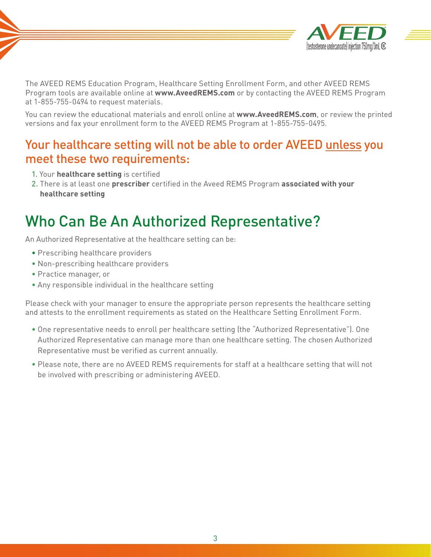

The AVEED REMS Education Program, Healthcare Setting Enrollment Form, and other AVEED REMS Program tools are available online at **www.AveedREMS.com** or by contacting the AVEED REMS Program at 1-855-755-0494 to request materials.

You can review the educational materials and enroll online at **www.AveedREMS.com**, or review the printed versions and fax your enrollment form to the AVEED REMS Program at 1-855-755-0495.

#### Your healthcare setting will not be able to order AVEED unless you meet these two requirements:

- 1. Your **healthcare setting** is certified
- 2. There is at least one **prescriber** certified in the Aveed REMS Program **associated with your healthcare setting**

## Who Can Be An Authorized Representative?

An Authorized Representative at the healthcare setting can be:

- Prescribing healthcare providers
- Non-prescribing healthcare providers
- Practice manager, or
- Any responsible individual in the healthcare setting

Please check with your manager to ensure the appropriate person represents the healthcare setting and attests to the enrollment requirements as stated on the Healthcare Setting Enrollment Form.

- One representative needs to enroll per healthcare setting (the "Authorized Representative"). One Authorized Representative can manage more than one healthcare setting. The chosen Authorized Representative must be verified as current annually.
- Please note, there are no AVEED REMS requirements for staff at a healthcare setting that will not be involved with prescribing or administering AVEED.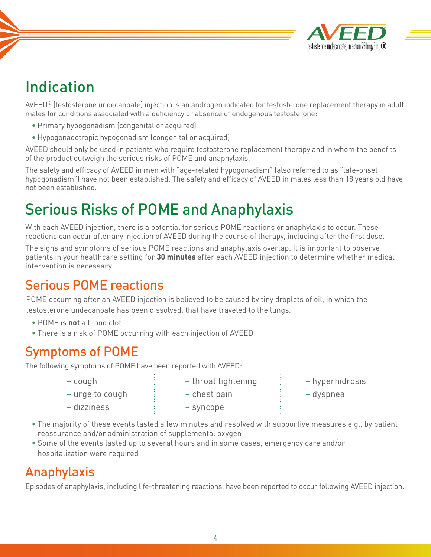

# Indication

AVEED® (testosterone undecanoate) injection is an androgen indicated for testosterone replacement therapy in adult males for conditions associated with a deficiency or absence of endogenous testosterone:

- Primary hypogonadism (congenital or acquired)
- Hypogonadotropic hypogonadism (congenital or acquired)

AVEED should only be used in patients who require testosterone replacement therapy and in whom the benefits of the product outweigh the serious risks of POME and anaphylaxis.

The safety and efficacy of AVEED in men with "age-related hypogonadism" (also referred to as "late-onset hypogonadism") have not been established. The safety and efficacy of AVEED in males less than 18 years old have not been established.

# Serious Risks of POME and Anaphylaxis

With each AVEED injection, there is a potential for serious POME reactions or anaphylaxis to occur. These reactions can occur after any injection of AVEED during the course of therapy, including after the first dose.

The signs and symptoms of serious POME reactions and anaphylaxis overlap. It is important to observe patients in your healthcare setting for **30 minutes** after each AVEED injection to determine whether medical intervention is necessary.

#### Serious POME reactions

POME occurring after an AVEED injection is believed to be caused by tiny droplets of oil, in which the testosterone undecanoate has been dissolved, that have traveled to the lungs.

- POME is **not** a blood clot
- There is a risk of POME occurring with each injection of AVEED

**–** dizziness **–** syncope

#### Symptoms of POME

The following symptoms of POME have been reported with AVEED:

- -
- **–** cough **–** throat tightening **–** hyperhidrosis
- **–** urge to cough **–** chest pain **–** dyspnea
- -
- The majority of these events lasted a few minutes and resolved with supportive measures e.g., by patient reassurance and/or administration of supplemental oxygen
- Some of the events lasted up to several hours and in some cases, emergency care and/or hospitalization were required

#### Anaphylaxis

Episodes of anaphylaxis, including life-threatening reactions, have been reported to occur following AVEED injection.